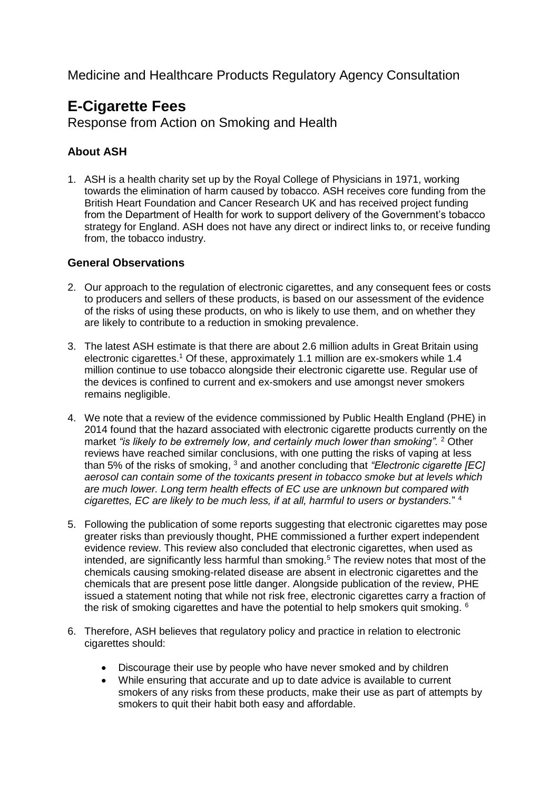Medicine and Healthcare Products Regulatory Agency Consultation

# **E-Cigarette Fees**

Response from Action on Smoking and Health

## **About ASH**

1. ASH is a health charity set up by the Royal College of Physicians in 1971, working towards the elimination of harm caused by tobacco. ASH receives core funding from the British Heart Foundation and Cancer Research UK and has received project funding from the Department of Health for work to support delivery of the Government's tobacco strategy for England. ASH does not have any direct or indirect links to, or receive funding from, the tobacco industry.

### **General Observations**

- 2. Our approach to the regulation of electronic cigarettes, and any consequent fees or costs to producers and sellers of these products, is based on our assessment of the evidence of the risks of using these products, on who is likely to use them, and on whether they are likely to contribute to a reduction in smoking prevalence.
- 3. The latest ASH estimate is that there are about 2.6 million adults in Great Britain using electronic cigarettes.<sup>1</sup> Of these, approximately 1.1 million are ex-smokers while 1.4 million continue to use tobacco alongside their electronic cigarette use. Regular use of the devices is confined to current and ex-smokers and use amongst never smokers remains negligible.
- 4. We note that a review of the evidence commissioned by Public Health England (PHE) in 2014 found that the hazard associated with electronic cigarette products currently on the market *"is likely to be extremely low, and certainly much lower than smoking".* <sup>2</sup> Other reviews have reached similar conclusions, with one putting the risks of vaping at less than 5% of the risks of smoking, <sup>3</sup> and another concluding that *"Electronic cigarette [EC] aerosol can contain some of the toxicants present in tobacco smoke but at levels which are much lower. Long term health effects of EC use are unknown but compared with cigarettes, EC are likely to be much less, if at all, harmful to users or bystanders.*" <sup>4</sup>
- 5. Following the publication of some reports suggesting that electronic cigarettes may pose greater risks than previously thought, PHE commissioned a further expert independent evidence review. This review also concluded that electronic cigarettes, when used as intended, are significantly less harmful than smoking.<sup>5</sup> The review notes that most of the chemicals causing smoking-related disease are absent in electronic cigarettes and the chemicals that are present pose little danger. Alongside publication of the review, PHE issued a statement noting that while not risk free, electronic cigarettes carry a fraction of the risk of smoking cigarettes and have the potential to help smokers quit smoking. <sup>6</sup>
- 6. Therefore, ASH believes that regulatory policy and practice in relation to electronic cigarettes should:
	- Discourage their use by people who have never smoked and by children
	- While ensuring that accurate and up to date advice is available to current smokers of any risks from these products, make their use as part of attempts by smokers to quit their habit both easy and affordable.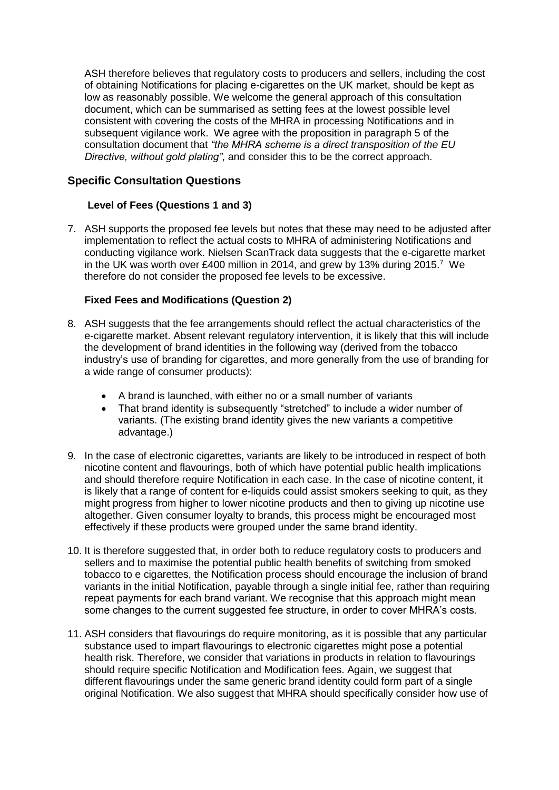ASH therefore believes that regulatory costs to producers and sellers, including the cost of obtaining Notifications for placing e-cigarettes on the UK market, should be kept as low as reasonably possible. We welcome the general approach of this consultation document, which can be summarised as setting fees at the lowest possible level consistent with covering the costs of the MHRA in processing Notifications and in subsequent vigilance work. We agree with the proposition in paragraph 5 of the consultation document that *"the MHRA scheme is a direct transposition of the EU Directive, without gold plating"*, and consider this to be the correct approach.

## **Specific Consultation Questions**

#### **Level of Fees (Questions 1 and 3)**

7. ASH supports the proposed fee levels but notes that these may need to be adjusted after implementation to reflect the actual costs to MHRA of administering Notifications and conducting vigilance work. Nielsen ScanTrack data suggests that the e-cigarette market in the UK was worth over £400 million in 2014, and grew by 13% during  $2015$ .<sup>7</sup> We therefore do not consider the proposed fee levels to be excessive.

#### **Fixed Fees and Modifications (Question 2)**

- 8. ASH suggests that the fee arrangements should reflect the actual characteristics of the e-cigarette market. Absent relevant regulatory intervention, it is likely that this will include the development of brand identities in the following way (derived from the tobacco industry's use of branding for cigarettes, and more generally from the use of branding for a wide range of consumer products):
	- A brand is launched, with either no or a small number of variants
	- That brand identity is subsequently "stretched" to include a wider number of variants. (The existing brand identity gives the new variants a competitive advantage.)
- 9. In the case of electronic cigarettes, variants are likely to be introduced in respect of both nicotine content and flavourings, both of which have potential public health implications and should therefore require Notification in each case. In the case of nicotine content, it is likely that a range of content for e-liquids could assist smokers seeking to quit, as they might progress from higher to lower nicotine products and then to giving up nicotine use altogether. Given consumer loyalty to brands, this process might be encouraged most effectively if these products were grouped under the same brand identity.
- 10. It is therefore suggested that, in order both to reduce regulatory costs to producers and sellers and to maximise the potential public health benefits of switching from smoked tobacco to e cigarettes, the Notification process should encourage the inclusion of brand variants in the initial Notification, payable through a single initial fee, rather than requiring repeat payments for each brand variant. We recognise that this approach might mean some changes to the current suggested fee structure, in order to cover MHRA's costs.
- 11. ASH considers that flavourings do require monitoring, as it is possible that any particular substance used to impart flavourings to electronic cigarettes might pose a potential health risk. Therefore, we consider that variations in products in relation to flavourings should require specific Notification and Modification fees. Again, we suggest that different flavourings under the same generic brand identity could form part of a single original Notification. We also suggest that MHRA should specifically consider how use of